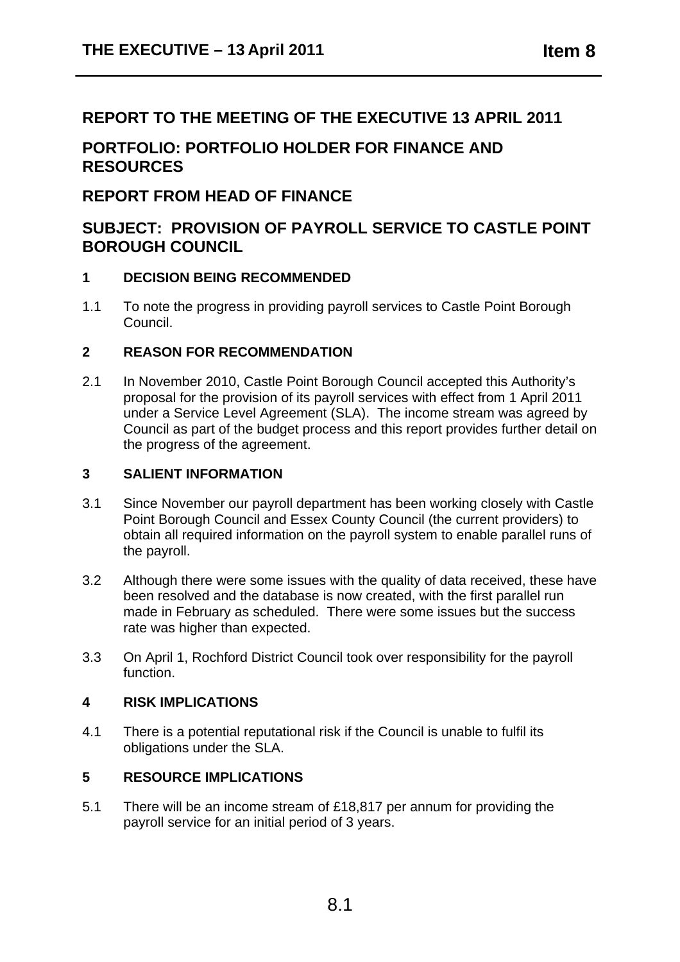## **REPORT TO THE MEETING OF THE EXECUTIVE 13 APRIL 2011**

# **PORTFOLIO: PORTFOLIO HOLDER FOR FINANCE AND RESOURCES**

### **REPORT FROM HEAD OF FINANCE**

# **SUBJECT: PROVISION OF PAYROLL SERVICE TO CASTLE POINT BOROUGH COUNCIL**

### **1 DECISION BEING RECOMMENDED**

1.1 To note the progress in providing payroll services to Castle Point Borough Council.

### **2 REASON FOR RECOMMENDATION**

2.1 In November 2010, Castle Point Borough Council accepted this Authority's proposal for the provision of its payroll services with effect from 1 April 2011 under a Service Level Agreement (SLA). The income stream was agreed by Council as part of the budget process and this report provides further detail on the progress of the agreement.

#### **3 SALIENT INFORMATION**

- 3.1 Since November our payroll department has been working closely with Castle Point Borough Council and Essex County Council (the current providers) to obtain all required information on the payroll system to enable parallel runs of the payroll.
- 3.2 Although there were some issues with the quality of data received, these have been resolved and the database is now created, with the first parallel run made in February as scheduled. There were some issues but the success rate was higher than expected.
- 3.3 On April 1, Rochford District Council took over responsibility for the payroll function.

### **4 RISK IMPLICATIONS**

4.1 There is a potential reputational risk if the Council is unable to fulfil its obligations under the SLA.

### **5 RESOURCE IMPLICATIONS**

5.1 There will be an income stream of £18,817 per annum for providing the payroll service for an initial period of 3 years.